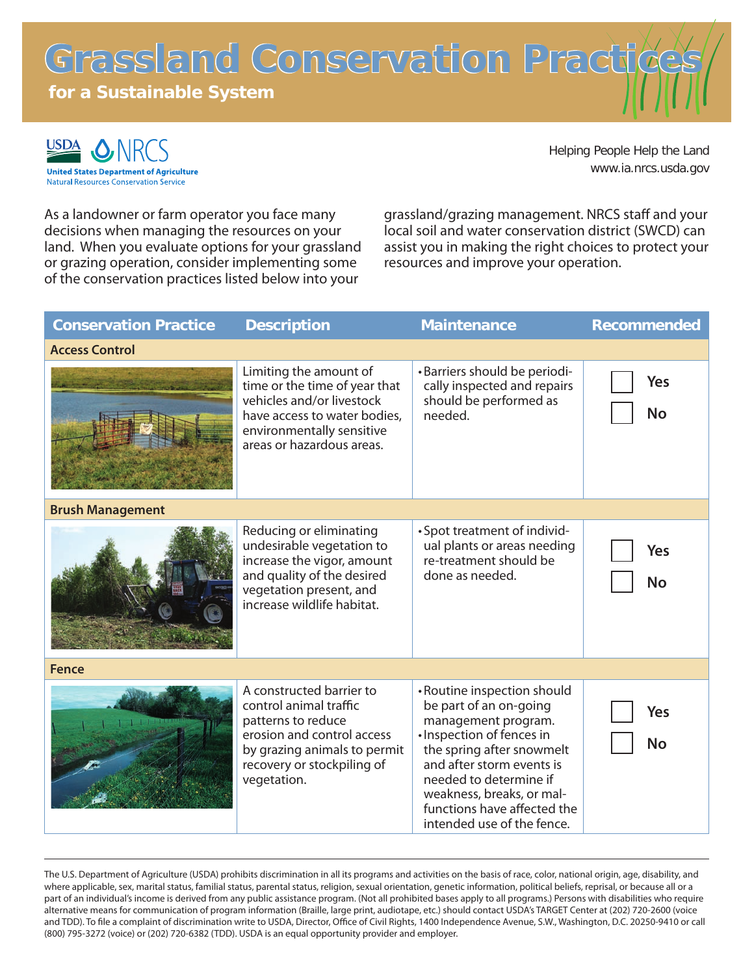Grassland Conservation Practi

**for a Sustainable System**



Helping People Help the Land www.ia.nrcs.usda.gov

As a landowner or farm operator you face many decisions when managing the resources on your land. When you evaluate options for your grassland or grazing operation, consider implementing some of the conservation practices listed below into your

grassland/grazing management. NRCS staff and your local soil and water conservation district (SWCD) can assist you in making the right choices to protect your resources and improve your operation.

| <b>Conservation Practice</b> | <b>Description</b>                                                                                                                                                                  | <b>Maintenance</b>                                                                                                                                                                                                                                                                      | <b>Recommended</b>      |
|------------------------------|-------------------------------------------------------------------------------------------------------------------------------------------------------------------------------------|-----------------------------------------------------------------------------------------------------------------------------------------------------------------------------------------------------------------------------------------------------------------------------------------|-------------------------|
| <b>Access Control</b>        |                                                                                                                                                                                     |                                                                                                                                                                                                                                                                                         |                         |
|                              | Limiting the amount of<br>time or the time of year that<br>vehicles and/or livestock<br>have access to water bodies.<br>environmentally sensitive<br>areas or hazardous areas.      | •Barriers should be periodi-<br>cally inspected and repairs<br>should be performed as<br>needed.                                                                                                                                                                                        | Yes<br><b>No</b>        |
| <b>Brush Management</b>      |                                                                                                                                                                                     |                                                                                                                                                                                                                                                                                         |                         |
|                              | Reducing or eliminating<br>undesirable vegetation to<br>increase the vigor, amount<br>and quality of the desired<br>vegetation present, and<br>increase wildlife habitat.           | • Spot treatment of individ-<br>ual plants or areas needing<br>re-treatment should be<br>done as needed.                                                                                                                                                                                | <b>Yes</b><br><b>No</b> |
| <b>Fence</b>                 |                                                                                                                                                                                     |                                                                                                                                                                                                                                                                                         |                         |
|                              | A constructed barrier to<br>control animal traffic<br>patterns to reduce<br>erosion and control access<br>by grazing animals to permit<br>recovery or stockpiling of<br>vegetation. | • Routine inspection should<br>be part of an on-going<br>management program.<br>· Inspection of fences in<br>the spring after snowmelt<br>and after storm events is<br>needed to determine if<br>weakness, breaks, or mal-<br>functions have affected the<br>intended use of the fence. | Yes<br><b>No</b>        |

The U.S. Department of Agriculture (USDA) prohibits discrimination in all its programs and activities on the basis of race, color, national origin, age, disability, and where applicable, sex, marital status, familial status, parental status, religion, sexual orientation, genetic information, political beliefs, reprisal, or because all or a part of an individual's income is derived from any public assistance program. (Not all prohibited bases apply to all programs.) Persons with disabilities who require alternative means for communication of program information (Braille, large print, audiotape, etc.) should contact USDA's TARGET Center at (202) 720-2600 (voice and TDD). To file a complaint of discrimination write to USDA, Director, Office of Civil Rights, 1400 Independence Avenue, S.W., Washington, D.C. 20250-9410 or call (800) 795-3272 (voice) or (202) 720-6382 (TDD). USDA is an equal opportunity provider and employer.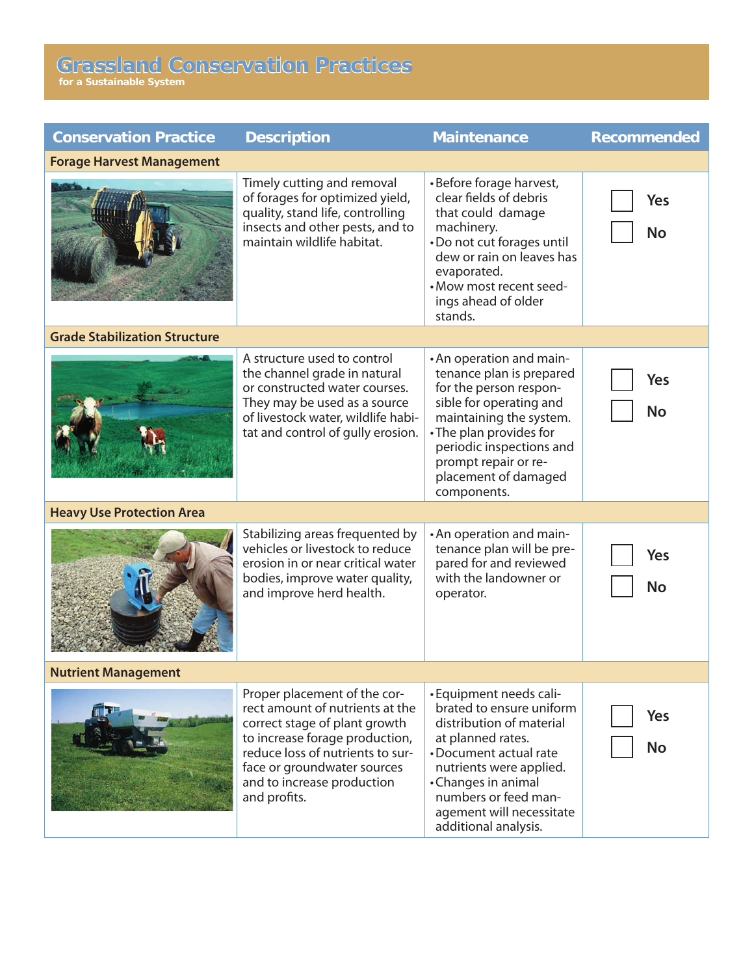## **Grassland Conservation Practices**

**for a Sustainable System**

| <b>Conservation Practice</b>         | <b>Description</b>                                                                                                                                                                                                                                  | <b>Maintenance</b>                                                                                                                                                                                                                                         | <b>Recommended</b> |
|--------------------------------------|-----------------------------------------------------------------------------------------------------------------------------------------------------------------------------------------------------------------------------------------------------|------------------------------------------------------------------------------------------------------------------------------------------------------------------------------------------------------------------------------------------------------------|--------------------|
| <b>Forage Harvest Management</b>     |                                                                                                                                                                                                                                                     |                                                                                                                                                                                                                                                            |                    |
|                                      | Timely cutting and removal<br>of forages for optimized yield,<br>quality, stand life, controlling<br>insects and other pests, and to<br>maintain wildlife habitat.                                                                                  | •Before forage harvest,<br>clear fields of debris<br>that could damage<br>machinery.<br>•Do not cut forages until<br>dew or rain on leaves has<br>evaporated.<br>• Mow most recent seed-<br>ings ahead of older<br>stands.                                 | Yes<br><b>No</b>   |
| <b>Grade Stabilization Structure</b> |                                                                                                                                                                                                                                                     |                                                                                                                                                                                                                                                            |                    |
|                                      | A structure used to control<br>the channel grade in natural<br>or constructed water courses.<br>They may be used as a source<br>of livestock water, wildlife habi-<br>tat and control of gully erosion.                                             | • An operation and main-<br>tenance plan is prepared<br>for the person respon-<br>sible for operating and<br>maintaining the system.<br>• The plan provides for<br>periodic inspections and<br>prompt repair or re-<br>placement of damaged<br>components. | Yes<br><b>No</b>   |
| <b>Heavy Use Protection Area</b>     |                                                                                                                                                                                                                                                     |                                                                                                                                                                                                                                                            |                    |
|                                      | Stabilizing areas frequented by<br>vehicles or livestock to reduce<br>erosion in or near critical water<br>bodies, improve water quality,<br>and improve herd health.                                                                               | • An operation and main-<br>tenance plan will be pre-<br>pared for and reviewed<br>with the landowner or<br>operator.                                                                                                                                      | Yes<br><b>No</b>   |
| <b>Nutrient Management</b>           |                                                                                                                                                                                                                                                     |                                                                                                                                                                                                                                                            |                    |
|                                      | Proper placement of the cor-<br>rect amount of nutrients at the<br>correct stage of plant growth<br>to increase forage production,<br>reduce loss of nutrients to sur-<br>face or groundwater sources<br>and to increase production<br>and profits. | • Equipment needs cali-<br>brated to ensure uniform<br>distribution of material<br>at planned rates.<br>•Document actual rate<br>nutrients were applied.<br>•Changes in animal<br>numbers or feed man-<br>agement will necessitate<br>additional analysis. | Yes<br><b>No</b>   |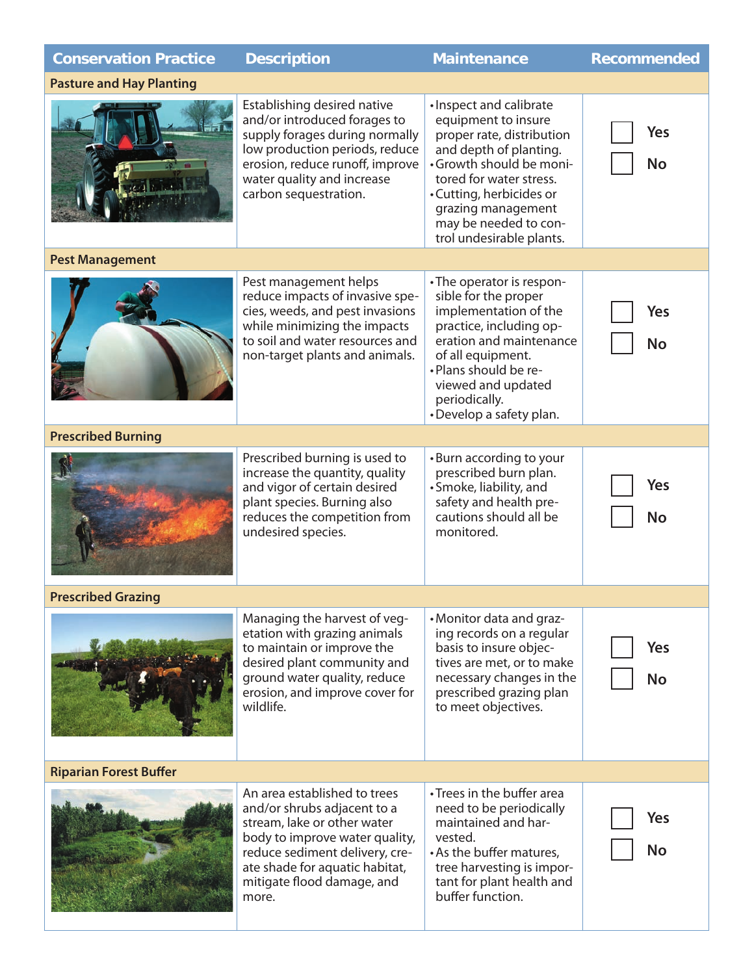| <b>Conservation Practice</b>    | <b>Description</b>                                                                                                                                                                                                                      | <b>Maintenance</b>                                                                                                                                                                                                                                                | <b>Recommended</b>      |  |
|---------------------------------|-----------------------------------------------------------------------------------------------------------------------------------------------------------------------------------------------------------------------------------------|-------------------------------------------------------------------------------------------------------------------------------------------------------------------------------------------------------------------------------------------------------------------|-------------------------|--|
| <b>Pasture and Hay Planting</b> |                                                                                                                                                                                                                                         |                                                                                                                                                                                                                                                                   |                         |  |
|                                 | Establishing desired native<br>and/or introduced forages to<br>supply forages during normally<br>low production periods, reduce<br>erosion, reduce runoff, improve<br>water quality and increase<br>carbon sequestration.               | · Inspect and calibrate<br>equipment to insure<br>proper rate, distribution<br>and depth of planting.<br>•Growth should be moni-<br>tored for water stress.<br>•Cutting, herbicides or<br>grazing management<br>may be needed to con-<br>trol undesirable plants. | <b>Yes</b><br><b>No</b> |  |
| <b>Pest Management</b>          |                                                                                                                                                                                                                                         |                                                                                                                                                                                                                                                                   |                         |  |
|                                 | Pest management helps<br>reduce impacts of invasive spe-<br>cies, weeds, and pest invasions<br>while minimizing the impacts<br>to soil and water resources and<br>non-target plants and animals.                                        | •The operator is respon-<br>sible for the proper<br>implementation of the<br>practice, including op-<br>eration and maintenance<br>of all equipment.<br>. Plans should be re-<br>viewed and updated<br>periodically.<br>•Develop a safety plan.                   | <b>Yes</b><br><b>No</b> |  |
| <b>Prescribed Burning</b>       |                                                                                                                                                                                                                                         |                                                                                                                                                                                                                                                                   |                         |  |
|                                 | Prescribed burning is used to<br>increase the quantity, quality<br>and vigor of certain desired<br>plant species. Burning also<br>reduces the competition from<br>undesired species.                                                    | •Burn according to your<br>prescribed burn plan.<br>• Smoke, liability, and<br>safety and health pre-<br>cautions should all be<br>monitored.                                                                                                                     | Yes<br><b>No</b>        |  |
| <b>Prescribed Grazing</b>       |                                                                                                                                                                                                                                         |                                                                                                                                                                                                                                                                   |                         |  |
|                                 | Managing the harvest of veg-<br>etation with grazing animals<br>to maintain or improve the<br>desired plant community and<br>ground water quality, reduce<br>erosion, and improve cover for<br>wildlife.                                | •Monitor data and graz-<br>ing records on a regular<br>basis to insure objec-<br>tives are met, or to make<br>necessary changes in the<br>prescribed grazing plan<br>to meet objectives.                                                                          | Yes<br><b>No</b>        |  |
| <b>Riparian Forest Buffer</b>   |                                                                                                                                                                                                                                         |                                                                                                                                                                                                                                                                   |                         |  |
|                                 | An area established to trees<br>and/or shrubs adjacent to a<br>stream, lake or other water<br>body to improve water quality,<br>reduce sediment delivery, cre-<br>ate shade for aquatic habitat,<br>mitigate flood damage, and<br>more. | • Trees in the buffer area<br>need to be periodically<br>maintained and har-<br>vested.<br>• As the buffer matures,<br>tree harvesting is impor-<br>tant for plant health and<br>buffer function.                                                                 | Yes<br><b>No</b>        |  |